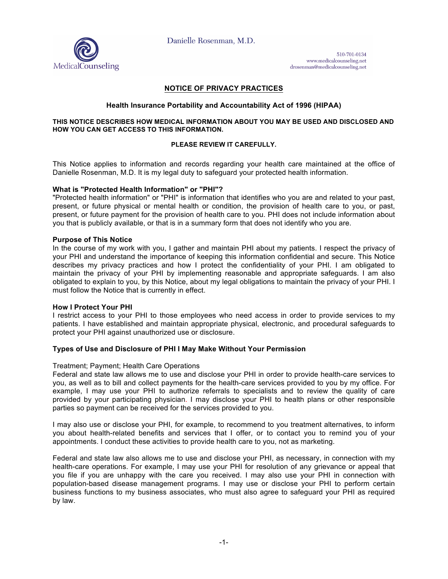

510-701-0134 www.medicalcounseling.net drosenman@medicalcounseling.net

# **NOTICE OF PRIVACY PRACTICES**

# **Health Insurance Portability and Accountability Act of 1996 (HIPAA)**

### **THIS NOTICE DESCRIBES HOW MEDICAL INFORMATION ABOUT YOU MAY BE USED AND DISCLOSED AND HOW YOU CAN GET ACCESS TO THIS INFORMATION.**

## **PLEASE REVIEW IT CAREFULLY.**

This Notice applies to information and records regarding your health care maintained at the office of Danielle Rosenman, M.D. It is my legal duty to safeguard your protected health information.

## **What is "Protected Health Information" or "PHI"?**

"Protected health information" or "PHI" is information that identifies who you are and related to your past, present, or future physical or mental health or condition, the provision of health care to you, or past, present, or future payment for the provision of health care to you. PHI does not include information about you that is publicly available, or that is in a summary form that does not identify who you are.

## **Purpose of This Notice**

In the course of my work with you, I gather and maintain PHI about my patients. I respect the privacy of your PHI and understand the importance of keeping this information confidential and secure. This Notice describes my privacy practices and how I protect the confidentiality of your PHI. I am obligated to maintain the privacy of your PHI by implementing reasonable and appropriate safeguards. I am also obligated to explain to you, by this Notice, about my legal obligations to maintain the privacy of your PHI. I must follow the Notice that is currently in effect.

#### **How I Protect Your PHI**

I restrict access to your PHI to those employees who need access in order to provide services to my patients. I have established and maintain appropriate physical, electronic, and procedural safeguards to protect your PHI against unauthorized use or disclosure.

# **Types of Use and Disclosure of PHI I May Make Without Your Permission**

#### Treatment; Payment; Health Care Operations

Federal and state law allows me to use and disclose your PHI in order to provide health-care services to you, as well as to bill and collect payments for the health-care services provided to you by my office. For example, I may use your PHI to authorize referrals to specialists and to review the quality of care provided by your participating physician. I may disclose your PHI to health plans or other responsible parties so payment can be received for the services provided to you.

I may also use or disclose your PHI, for example, to recommend to you treatment alternatives, to inform you about health-related benefits and services that I offer, or to contact you to remind you of your appointments. I conduct these activities to provide health care to you, not as marketing.

Federal and state law also allows me to use and disclose your PHI, as necessary, in connection with my health-care operations. For example, I may use your PHI for resolution of any grievance or appeal that you file if you are unhappy with the care you received. I may also use your PHI in connection with population-based disease management programs. I may use or disclose your PHI to perform certain business functions to my business associates, who must also agree to safeguard your PHI as required by law.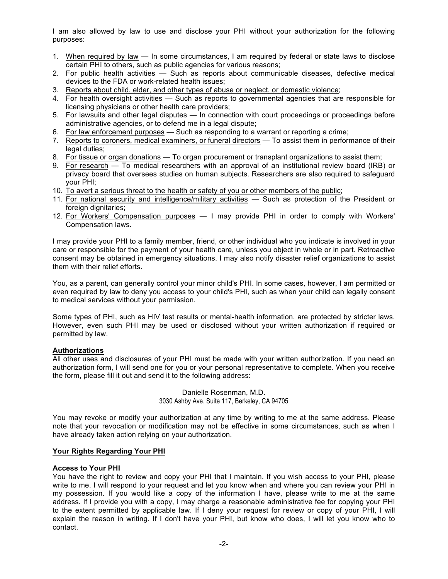I am also allowed by law to use and disclose your PHI without your authorization for the following purposes:

- 1. When required by law In some circumstances, I am required by federal or state laws to disclose certain PHI to others, such as public agencies for various reasons;
- 2. For public health activities Such as reports about communicable diseases, defective medical devices to the FDA or work-related health issues;
- 3. Reports about child, elder, and other types of abuse or neglect, or domestic violence;
- 4. For health oversight activities Such as reports to governmental agencies that are responsible for licensing physicians or other health care providers;
- 5. For lawsuits and other legal disputes In connection with court proceedings or proceedings before administrative agencies, or to defend me in a legal dispute;
- 6. For law enforcement purposes Such as responding to a warrant or reporting a crime;
- 7. Reports to coroners, medical examiners, or funeral directors To assist them in performance of their legal duties:
- 8. For tissue or organ donations To organ procurement or transplant organizations to assist them;
- 9. For research To medical researchers with an approval of an institutional review board (IRB) or privacy board that oversees studies on human subjects. Researchers are also required to safeguard your PHI;
- 10. To avert a serious threat to the health or safety of you or other members of the public;
- 11. For national security and intelligence/military activities Such as protection of the President or foreign dignitaries;
- 12. For Workers' Compensation purposes I may provide PHI in order to comply with Workers' Compensation laws.

I may provide your PHI to a family member, friend, or other individual who you indicate is involved in your care or responsible for the payment of your health care, unless you object in whole or in part. Retroactive consent may be obtained in emergency situations. I may also notify disaster relief organizations to assist them with their relief efforts.

You, as a parent, can generally control your minor child's PHI. In some cases, however, I am permitted or even required by law to deny you access to your child's PHI, such as when your child can legally consent to medical services without your permission.

Some types of PHI, such as HIV test results or mental-health information, are protected by stricter laws. However, even such PHI may be used or disclosed without your written authorization if required or permitted by law.

# **Authorizations**

All other uses and disclosures of your PHI must be made with your written authorization. If you need an authorization form, I will send one for you or your personal representative to complete. When you receive the form, please fill it out and send it to the following address:

> Danielle Rosenman, M.D. 3030 Ashby Ave. Suite 117, Berkeley, CA 94705

You may revoke or modify your authorization at any time by writing to me at the same address. Please note that your revocation or modification may not be effective in some circumstances, such as when I have already taken action relying on your authorization.

# **Your Rights Regarding Your PHI**

# **Access to Your PHI**

You have the right to review and copy your PHI that I maintain. If you wish access to your PHI, please write to me. I will respond to your request and let you know when and where you can review your PHI in my possession. If you would like a copy of the information I have, please write to me at the same address. If I provide you with a copy, I may charge a reasonable administrative fee for copying your PHI to the extent permitted by applicable law. If I deny your request for review or copy of your PHI, I will explain the reason in writing. If I don't have your PHI, but know who does, I will let you know who to contact.